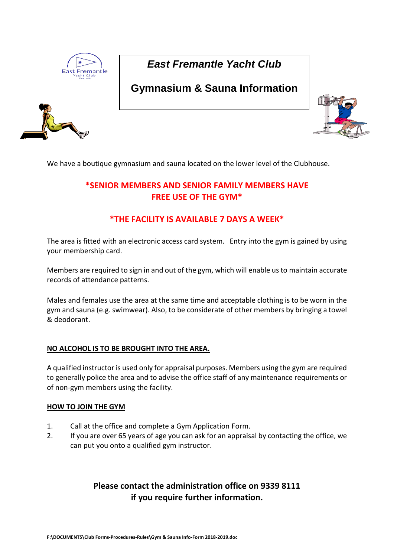

# *East Fremantle Yacht Club*

# **Gymnasium & Sauna Information**



We have a boutique gymnasium and sauna located on the lower level of the Clubhouse.

## **\*SENIOR MEMBERS AND SENIOR FAMILY MEMBERS HAVE FREE USE OF THE GYM\***

## **\*THE FACILITY IS AVAILABLE 7 DAYS A WEEK\***

The area is fitted with an electronic access card system. Entry into the gym is gained by using your membership card.

Members are required to sign in and out of the gym, which will enable us to maintain accurate records of attendance patterns.

Males and females use the area at the same time and acceptable clothing is to be worn in the gym and sauna (e.g. swimwear). Also, to be considerate of other members by bringing a towel & deodorant.

### **NO ALCOHOL IS TO BE BROUGHT INTO THE AREA.**

A qualified instructor is used only for appraisal purposes. Members using the gym are required to generally police the area and to advise the office staff of any maintenance requirements or of non-gym members using the facility.

### **HOW TO JOIN THE GYM**

- 1. Call at the office and complete a Gym Application Form.
- 2. If you are over 65 years of age you can ask for an appraisal by contacting the office, we can put you onto a qualified gym instructor.

## **Please contact the administration office on 9339 8111 if you require further information.**